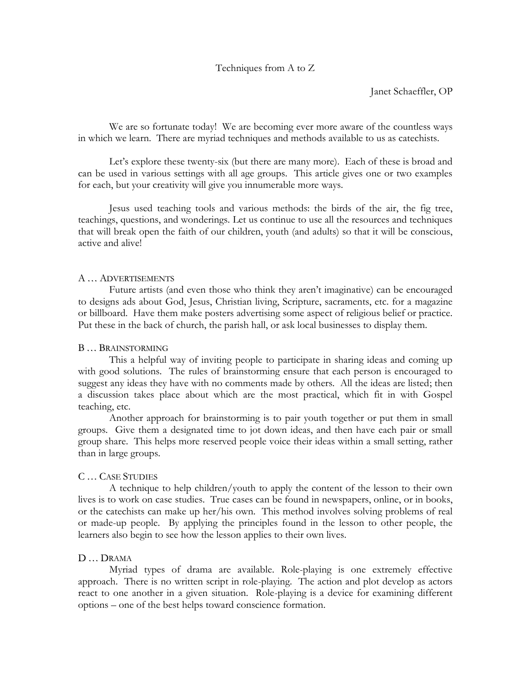## Techniques from A to Z

Janet Schaeffler, OP

We are so fortunate today! We are becoming ever more aware of the countless ways in which we learn. There are myriad techniques and methods available to us as catechists.

Let's explore these twenty-six (but there are many more). Each of these is broad and can be used in various settings with all age groups. This article gives one or two examples for each, but your creativity will give you innumerable more ways.

Jesus used teaching tools and various methods: the birds of the air, the fig tree, teachings, questions, and wonderings. Let us continue to use all the resources and techniques that will break open the faith of our children, youth (and adults) so that it will be conscious, active and alive!

## A … ADVERTISEMENTS

Future artists (and even those who think they aren't imaginative) can be encouraged to designs ads about God, Jesus, Christian living, Scripture, sacraments, etc. for a magazine or billboard. Have them make posters advertising some aspect of religious belief or practice. Put these in the back of church, the parish hall, or ask local businesses to display them.

### B … BRAINSTORMING

This a helpful way of inviting people to participate in sharing ideas and coming up with good solutions. The rules of brainstorming ensure that each person is encouraged to suggest any ideas they have with no comments made by others. All the ideas are listed; then a discussion takes place about which are the most practical, which fit in with Gospel teaching, etc.

Another approach for brainstorming is to pair youth together or put them in small groups. Give them a designated time to jot down ideas, and then have each pair or small group share. This helps more reserved people voice their ideas within a small setting, rather than in large groups.

#### C … CASE STUDIES

A technique to help children/youth to apply the content of the lesson to their own lives is to work on case studies. True cases can be found in newspapers, online, or in books, or the catechists can make up her/his own. This method involves solving problems of real or made-up people. By applying the principles found in the lesson to other people, the learners also begin to see how the lesson applies to their own lives.

# D … DRAMA

Myriad types of drama are available. Role-playing is one extremely effective approach. There is no written script in role-playing. The action and plot develop as actors react to one another in a given situation. Role-playing is a device for examining different options – one of the best helps toward conscience formation.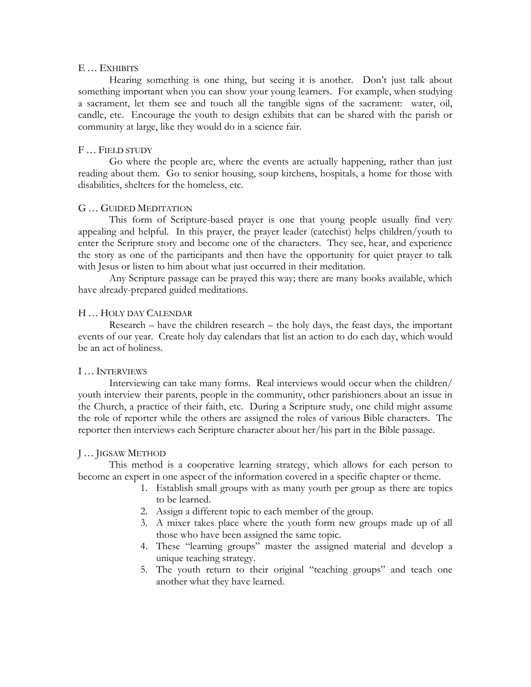### E … EXHIBITS

Hearing something is one thing, but seeing it is another. Don't just talk about something important when you can show your young learners. For example, when studying a sacrament, let them see and touch all the tangible signs of the sacrament: water, oil, candle, etc. Encourage the youth to design exhibits that can be shared with the parish or community at large, like they would do in a science fair.

## F … FIELD STUDY

Go where the people are, where the events are actually happening, rather than just reading about them. Go to senior housing, soup kitchens, hospitals, a home for those with disabilities, shelters for the homeless, etc.

## G … GUIDED MEDITATION

This form of Scripture-based prayer is one that young people usually find very appealing and helpful. In this prayer, the prayer leader (catechist) helps children/youth to enter the Scripture story and become one of the characters. They see, hear, and experience the story as one of the participants and then have the opportunity for quiet prayer to talk with Jesus or listen to him about what just occurred in their meditation.

Any Scripture passage can be prayed this way; there are many books available, which have already-prepared guided meditations.

## H … HOLY DAY CALENDAR

Research – have the children research – the holy days, the feast days, the important events of our year. Create holy day calendars that list an action to do each day, which would be an act of holiness.

# I … INTERVIEWS

Interviewing can take many forms. Real interviews would occur when the children/ youth interview their parents, people in the community, other parishioners about an issue in the Church, a practice of their faith, etc. During a Scripture study, one child might assume the role of reporter while the others are assigned the roles of various Bible characters. The reporter then interviews each Scripture character about her/his part in the Bible passage.

#### J … JIGSAW METHOD

This method is a cooperative learning strategy, which allows for each person to become an expert in one aspect of the information covered in a specific chapter or theme.

- 1. Establish small groups with as many youth per group as there are topics to be learned.
- 2. Assign a different topic to each member of the group.
- 3. A mixer takes place where the youth form new groups made up of all those who have been assigned the same topic.
- 4. These "learning groups" master the assigned material and develop a unique teaching strategy.
- 5. The youth return to their original "teaching groups" and teach one another what they have learned.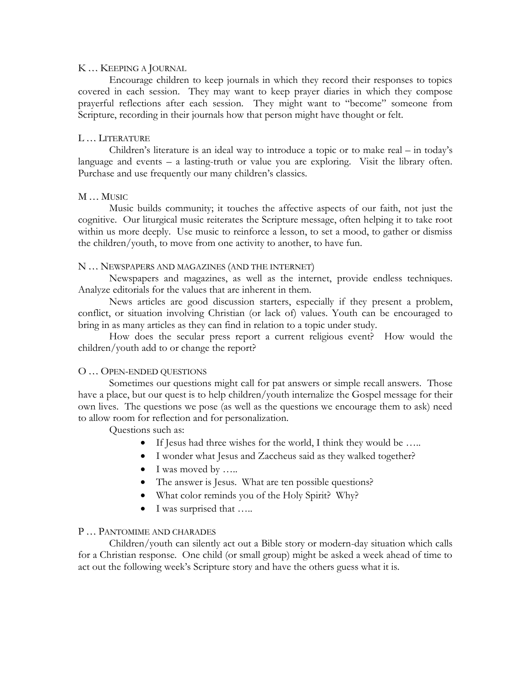### K … KEEPING A JOURNAL

Encourage children to keep journals in which they record their responses to topics covered in each session. They may want to keep prayer diaries in which they compose prayerful reflections after each session. They might want to "become" someone from Scripture, recording in their journals how that person might have thought or felt.

# L … LITERATURE

Children's literature is an ideal way to introduce a topic or to make real – in today's language and events – a lasting-truth or value you are exploring. Visit the library often. Purchase and use frequently our many children's classics.

# M … MUSIC

Music builds community; it touches the affective aspects of our faith, not just the cognitive. Our liturgical music reiterates the Scripture message, often helping it to take root within us more deeply. Use music to reinforce a lesson, to set a mood, to gather or dismiss the children/youth, to move from one activity to another, to have fun.

# N … NEWSPAPERS AND MAGAZINES (AND THE INTERNET)

Newspapers and magazines, as well as the internet, provide endless techniques. Analyze editorials for the values that are inherent in them.

News articles are good discussion starters, especially if they present a problem, conflict, or situation involving Christian (or lack of) values. Youth can be encouraged to bring in as many articles as they can find in relation to a topic under study.

How does the secular press report a current religious event? How would the children/youth add to or change the report?

# O … OPEN-ENDED QUESTIONS

Sometimes our questions might call for pat answers or simple recall answers. Those have a place, but our quest is to help children/youth internalize the Gospel message for their own lives. The questions we pose (as well as the questions we encourage them to ask) need to allow room for reflection and for personalization.

Questions such as:

- If Jesus had three wishes for the world, I think they would be …..
- I wonder what Jesus and Zaccheus said as they walked together?
- $\bullet$  I was moved by .....
- The answer is Jesus. What are ten possible questions?
- What color reminds you of the Holy Spirit? Why?
- I was surprised that …..

# P … PANTOMIME AND CHARADES

Children/youth can silently act out a Bible story or modern-day situation which calls for a Christian response. One child (or small group) might be asked a week ahead of time to act out the following week's Scripture story and have the others guess what it is.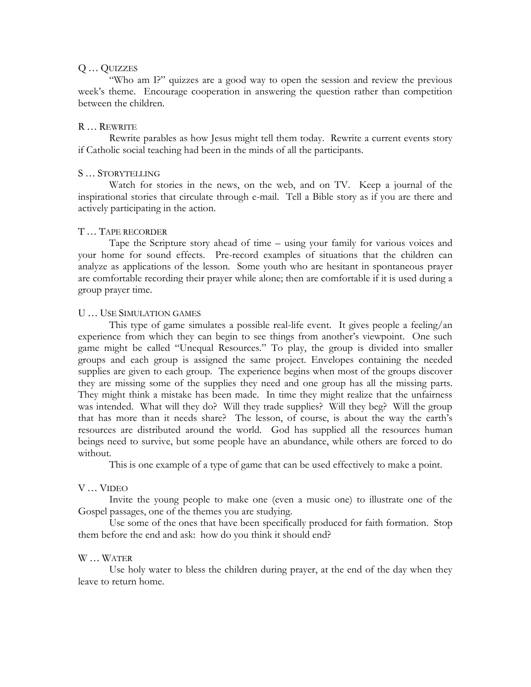## Q … QUIZZES

"Who am I?" quizzes are a good way to open the session and review the previous week's theme. Encourage cooperation in answering the question rather than competition between the children.

## R … REWRITE

Rewrite parables as how Jesus might tell them today. Rewrite a current events story if Catholic social teaching had been in the minds of all the participants.

## S … STORYTELLING

Watch for stories in the news, on the web, and on TV. Keep a journal of the inspirational stories that circulate through e-mail. Tell a Bible story as if you are there and actively participating in the action.

## T … TAPE RECORDER

Tape the Scripture story ahead of time – using your family for various voices and your home for sound effects. Pre-record examples of situations that the children can analyze as applications of the lesson. Some youth who are hesitant in spontaneous prayer are comfortable recording their prayer while alone; then are comfortable if it is used during a group prayer time.

## U … USE SIMULATION GAMES

This type of game simulates a possible real-life event. It gives people a feeling/an experience from which they can begin to see things from another's viewpoint. One such game might be called "Unequal Resources." To play, the group is divided into smaller groups and each group is assigned the same project. Envelopes containing the needed supplies are given to each group. The experience begins when most of the groups discover they are missing some of the supplies they need and one group has all the missing parts. They might think a mistake has been made. In time they might realize that the unfairness was intended. What will they do? Will they trade supplies? Will they beg? Will the group that has more than it needs share? The lesson, of course, is about the way the earth's resources are distributed around the world. God has supplied all the resources human beings need to survive, but some people have an abundance, while others are forced to do without.

This is one example of a type of game that can be used effectively to make a point.

# V … VIDEO

Invite the young people to make one (even a music one) to illustrate one of the Gospel passages, one of the themes you are studying.

Use some of the ones that have been specifically produced for faith formation. Stop them before the end and ask: how do you think it should end?

# W … WATER

Use holy water to bless the children during prayer, at the end of the day when they leave to return home.